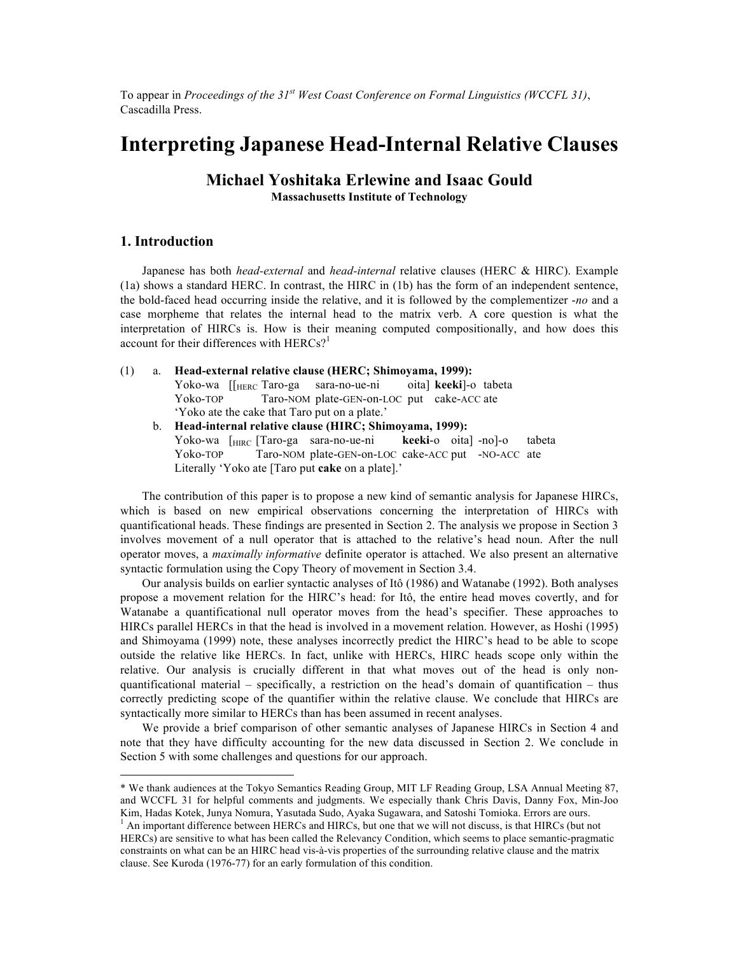To appear in *Proceedings of the 31st West Coast Conference on Formal Linguistics (WCCFL 31)*, Cascadilla Press.

# **Interpreting Japanese Head-Internal Relative Clauses**

**Michael Yoshitaka Erlewine and Isaac Gould Massachusetts Institute of Technology**

# **1. Introduction\***

<u> 1989 - Johann Stein, fransk politik (d. 1989)</u>

Japanese has both *head-external* and *head-internal* relative clauses (HERC & HIRC). Example (1a) shows a standard HERC. In contrast, the HIRC in (1b) has the form of an independent sentence, the bold-faced head occurring inside the relative, and it is followed by the complementizer -*no* and a case morpheme that relates the internal head to the matrix verb. A core question is what the interpretation of HIRCs is. How is their meaning computed compositionally, and how does this account for their differences with  $HERCs$ <sup>1</sup>

(1) a. **Head-external relative clause (HERC; Shimoyama, 1999):** Yoko-wa [[HERC Taro-ga sara-no-ue-ni oita] **keeki**]-o tabeta Yoko-TOP Taro-NOM plate-GEN-on-LOC put cake-ACC ate 'Yoko ate the cake that Taro put on a plate.' b. **Head-internal relative clause (HIRC; Shimoyama, 1999):** Yoko-wa [HIRC [Taro-ga sara-no-ue-ni **keeki**-o oita] -no]-o tabeta Yoko-TOP Taro-NOM plate-GEN-on-LOC cake-ACC put -NO-ACC ate

Literally 'Yoko ate [Taro put **cake** on a plate].'

The contribution of this paper is to propose a new kind of semantic analysis for Japanese HIRCs, which is based on new empirical observations concerning the interpretation of HIRCs with quantificational heads. These findings are presented in Section 2. The analysis we propose in Section 3 involves movement of a null operator that is attached to the relative's head noun. After the null operator moves, a *maximally informative* definite operator is attached. We also present an alternative syntactic formulation using the Copy Theory of movement in Section 3.4.

Our analysis builds on earlier syntactic analyses of Itô (1986) and Watanabe (1992). Both analyses propose a movement relation for the HIRC's head: for Itô, the entire head moves covertly, and for Watanabe a quantificational null operator moves from the head's specifier. These approaches to HIRCs parallel HERCs in that the head is involved in a movement relation. However, as Hoshi (1995) and Shimoyama (1999) note, these analyses incorrectly predict the HIRC's head to be able to scope outside the relative like HERCs. In fact, unlike with HERCs, HIRC heads scope only within the relative. Our analysis is crucially different in that what moves out of the head is only nonquantificational material – specifically, a restriction on the head's domain of quantification – thus correctly predicting scope of the quantifier within the relative clause. We conclude that HIRCs are syntactically more similar to HERCs than has been assumed in recent analyses.

We provide a brief comparison of other semantic analyses of Japanese HIRCs in Section 4 and note that they have difficulty accounting for the new data discussed in Section 2. We conclude in Section 5 with some challenges and questions for our approach.

<sup>\*</sup> We thank audiences at the Tokyo Semantics Reading Group, MIT LF Reading Group, LSA Annual Meeting 87, and WCCFL 31 for helpful comments and judgments. We especially thank Chris Davis, Danny Fox, Min-Joo

Kim, Hadas Kotek, Junya Nomura, Yasutada Sudo, Ayaka Sugawara, and Satoshi Tomioka. Errors are ours.<br><sup>1</sup> An important difference between HERCs and HIRCs, but one that we will not discuss, is that HIRCs (but not HERCs) are sensitive to what has been called the Relevancy Condition, which seems to place semantic-pragmatic constraints on what can be an HIRC head vis-à-vis properties of the surrounding relative clause and the matrix clause. See Kuroda (1976-77) for an early formulation of this condition.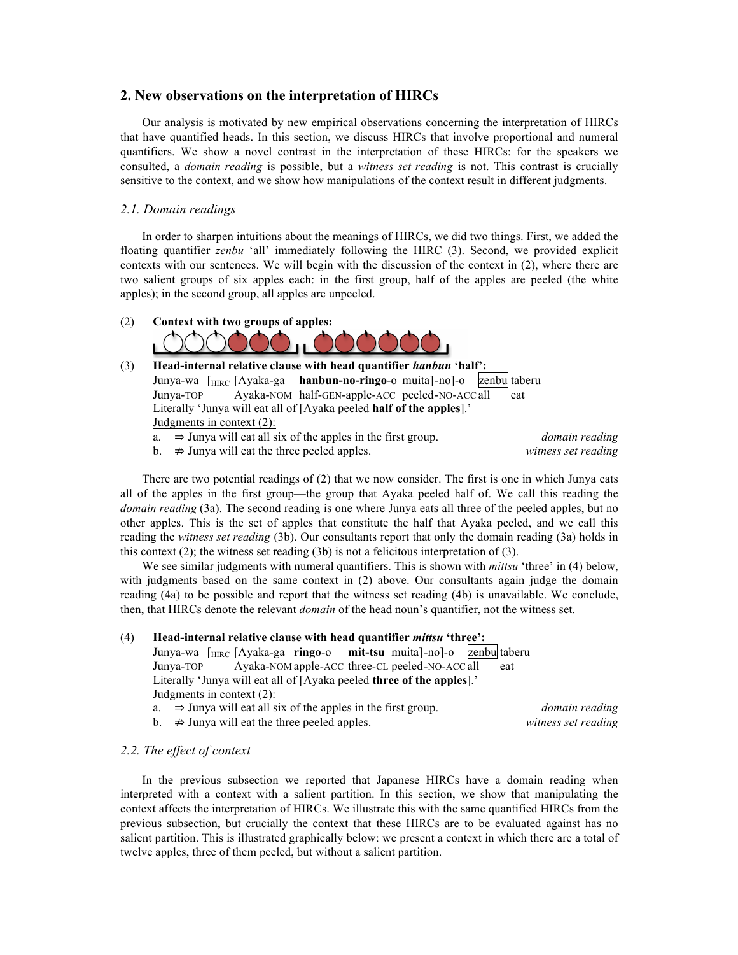# **2. New observations on the interpretation of HIRCs**

Our analysis is motivated by new empirical observations concerning the interpretation of HIRCs that have quantified heads. In this section, we discuss HIRCs that involve proportional and numeral quantifiers. We show a novel contrast in the interpretation of these HIRCs: for the speakers we consulted, a *domain reading* is possible, but a *witness set reading* is not. This contrast is crucially sensitive to the context, and we show how manipulations of the context result in different judgments.

#### *2.1. Domain readings*

In order to sharpen intuitions about the meanings of HIRCs, we did two things. First, we added the floating quantifier *zenbu* 'all' immediately following the HIRC (3). Second, we provided explicit contexts with our sentences. We will begin with the discussion of the context in (2), where there are two salient groups of six apples each: in the first group, half of the apples are peeled (the white apples); in the second group, all apples are unpeeled.

# (2) **Context with two groups of apples:**



# (3) **Head-internal relative clause with head quantifier** *hanbun* **'half':** Junya-wa [HIRC [Ayaka-ga **hanbun-no-ringo**-o muita]-no]-o zenbu taberu Junya-TOP Ayaka-NOM half-GEN-apple-ACC peeled-NO-ACC all Literally 'Junya will eat all of [Ayaka peeled **half of the apples**].' Judgments in context (2): a. ⇒ Junya will eat all six of the apples in the first group. *domain reading*

b.  $\Rightarrow$  Junya will eat the three peeled apples.  $\Rightarrow$  *witness set reading* 

There are two potential readings of (2) that we now consider. The first is one in which Junya eats all of the apples in the first group—the group that Ayaka peeled half of. We call this reading the *domain reading* (3a). The second reading is one where Junya eats all three of the peeled apples, but no other apples. This is the set of apples that constitute the half that Ayaka peeled, and we call this reading the *witness set reading* (3b). Our consultants report that only the domain reading (3a) holds in this context  $(2)$ ; the witness set reading  $(3b)$  is not a felicitous interpretation of  $(3)$ .

We see similar judgments with numeral quantifiers. This is shown with *mittsu* 'three' in (4) below, with judgments based on the same context in (2) above. Our consultants again judge the domain reading (4a) to be possible and report that the witness set reading (4b) is unavailable. We conclude, then, that HIRCs denote the relevant *domain* of the head noun's quantifier, not the witness set.

#### (4) **Head-internal relative clause with head quantifier** *mittsu* **'three':**

Junya-wa [HIRC [Ayaka-ga **ringo**-o **mit-tsu** muita]-no]-o zenbu taberu Junya-TOP Ayaka-NOM apple-ACC three-CL peeled-NO-ACC all eat Literally 'Junya will eat all of [Ayaka peeled **three of the apples**].' Judgments in context (2):

|  | a. $\Rightarrow$ Junya will eat all six of the apples in the first group. |  |  | domain reading |  |
|--|---------------------------------------------------------------------------|--|--|----------------|--|
|--|---------------------------------------------------------------------------|--|--|----------------|--|

b. ⇏ Junya will eat the three peeled apples. *witness set reading*

#### *2.2. The effect of context*

In the previous subsection we reported that Japanese HIRCs have a domain reading when interpreted with a context with a salient partition. In this section, we show that manipulating the context affects the interpretation of HIRCs. We illustrate this with the same quantified HIRCs from the previous subsection, but crucially the context that these HIRCs are to be evaluated against has no salient partition. This is illustrated graphically below: we present a context in which there are a total of twelve apples, three of them peeled, but without a salient partition.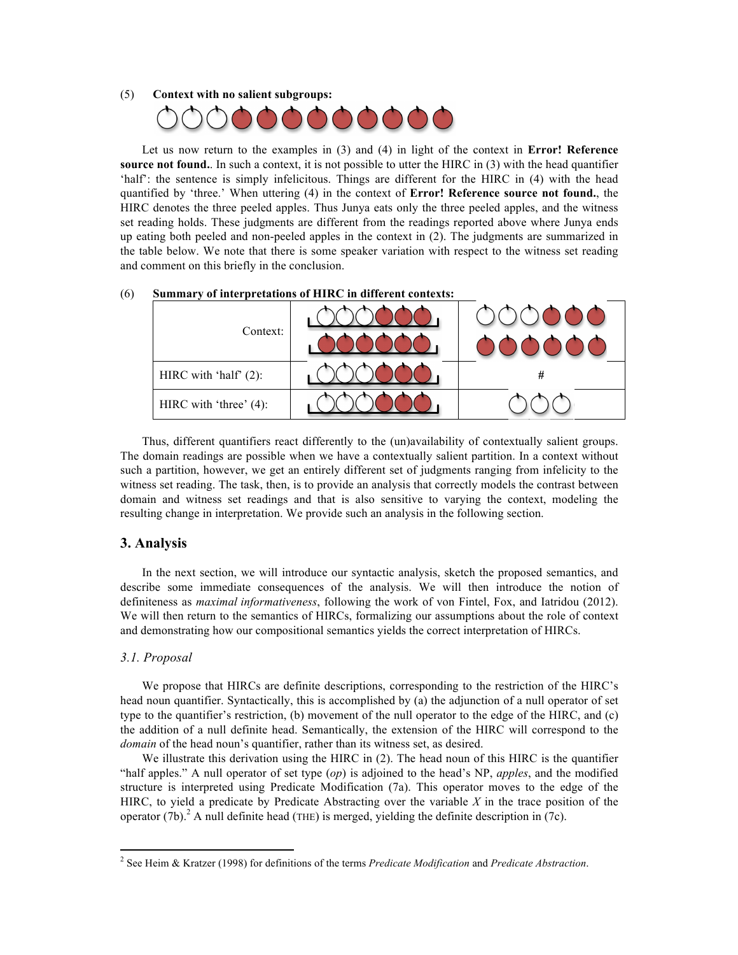#### (5) **Context with no salient subgroups:**



Let us now return to the examples in (3) and (4) in light of the context in **Error! Reference source not found.** In such a context, it is not possible to utter the HIRC in (3) with the head quantifier 'half': the sentence is simply infelicitous. Things are different for the HIRC in (4) with the head quantified by 'three.' When uttering (4) in the context of **Error! Reference source not found.**, the HIRC denotes the three peeled apples. Thus Junya eats only the three peeled apples, and the witness set reading holds. These judgments are different from the readings reported above where Junya ends up eating both peeled and non-peeled apples in the context in (2). The judgments are summarized in the table below. We note that there is some speaker variation with respect to the witness set reading and comment on this briefly in the conclusion.

| Context:                  |   |
|---------------------------|---|
| HIRC with 'half' (2):     | # |
| HIRC with 'three' $(4)$ : |   |

# (6) **Summary of interpretations of HIRC in different contexts:**

Thus, different quantifiers react differently to the (un)availability of contextually salient groups. The domain readings are possible when we have a contextually salient partition. In a context without such a partition, however, we get an entirely different set of judgments ranging from infelicity to the witness set reading. The task, then, is to provide an analysis that correctly models the contrast between domain and witness set readings and that is also sensitive to varying the context, modeling the resulting change in interpretation. We provide such an analysis in the following section.

# **3. Analysis**

In the next section, we will introduce our syntactic analysis, sketch the proposed semantics, and describe some immediate consequences of the analysis. We will then introduce the notion of definiteness as *maximal informativeness*, following the work of von Fintel, Fox, and Iatridou (2012). We will then return to the semantics of HIRCs, formalizing our assumptions about the role of context and demonstrating how our compositional semantics yields the correct interpretation of HIRCs.

#### *3.1. Proposal*

<u> 1989 - Johann Stein, fransk politik (d. 1989)</u>

We propose that HIRCs are definite descriptions, corresponding to the restriction of the HIRC's head noun quantifier. Syntactically, this is accomplished by (a) the adjunction of a null operator of set type to the quantifier's restriction, (b) movement of the null operator to the edge of the HIRC, and (c) the addition of a null definite head. Semantically, the extension of the HIRC will correspond to the *domain* of the head noun's quantifier, rather than its witness set, as desired.

We illustrate this derivation using the HIRC in (2). The head noun of this HIRC is the quantifier "half apples." A null operator of set type (*op*) is adjoined to the head's NP, *apples*, and the modified structure is interpreted using Predicate Modification (7a). This operator moves to the edge of the HIRC, to yield a predicate by Predicate Abstracting over the variable *X* in the trace position of the operator (7b). <sup>2</sup> A null definite head (THE) is merged, yielding the definite description in (7c).

<sup>2</sup> See Heim & Kratzer (1998) for definitions of the terms *Predicate Modification* and *Predicate Abstraction*.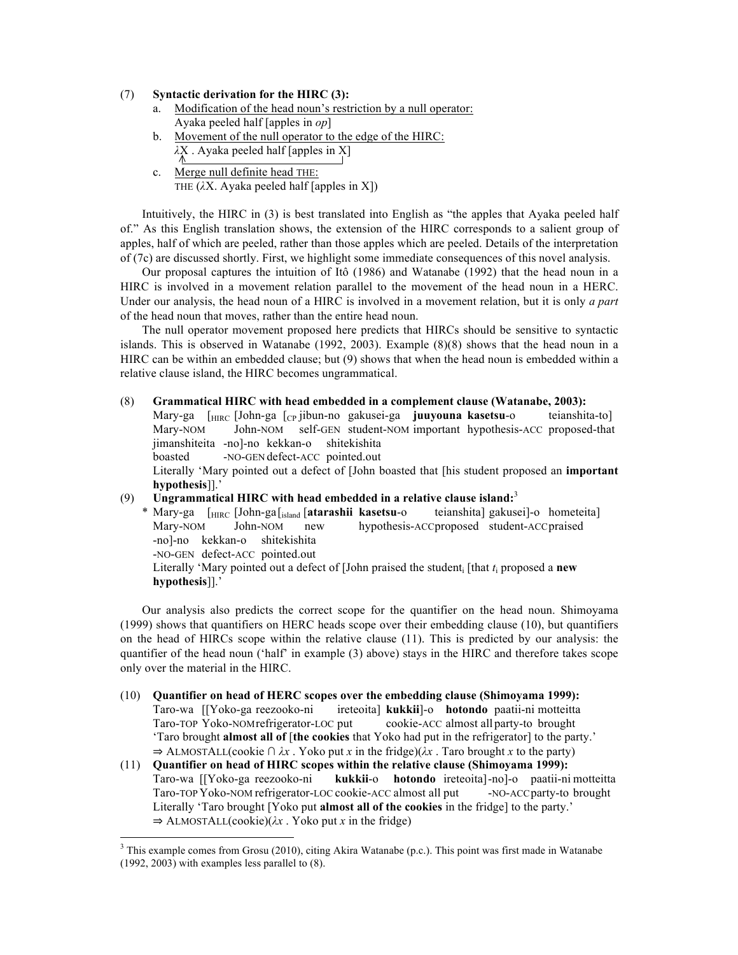## (7) **Syntactic derivation for the HIRC (3):**

- a. Modification of the head noun's restriction by a null operator: Ayaka peeled half [apples in *op*]
- b. Movement of the null operator to the edge of the HIRC: *λ*X . Ayaka peeled half [apples in X]
- c. Merge null definite head THE: THE (*λ*X. Ayaka peeled half [apples in X])

Intuitively, the HIRC in (3) is best translated into English as "the apples that Ayaka peeled half of." As this English translation shows, the extension of the HIRC corresponds to a salient group of apples, half of which are peeled, rather than those apples which are peeled. Details of the interpretation of (7c) are discussed shortly. First, we highlight some immediate consequences of this novel analysis.

Our proposal captures the intuition of Itô (1986) and Watanabe (1992) that the head noun in a HIRC is involved in a movement relation parallel to the movement of the head noun in a HERC. Under our analysis, the head noun of a HIRC is involved in a movement relation, but it is only *a part* of the head noun that moves, rather than the entire head noun.

The null operator movement proposed here predicts that HIRCs should be sensitive to syntactic islands. This is observed in Watanabe (1992, 2003). Example (8)(8) shows that the head noun in a HIRC can be within an embedded clause; but (9) shows that when the head noun is embedded within a relative clause island, the HIRC becomes ungrammatical.

(8) **Grammatical HIRC with head embedded in a complement clause (Watanabe, 2003):**

Mary-ga [HIRC [John-ga [CP jibun-no gakusei-ga **juuyouna kasetsu**-o teianshita-to] Mary-NOM John-NOM self-GEN student-NOM important hypothesis-ACC proposed-that jimanshiteita -no]-no kekkan-o shitekishita

boasted -NO-GEN defect-ACC pointed.out

<u> 1989 - Johann Stein, fransk politik (d. 1989)</u>

Literally 'Mary pointed out a defect of [John boasted that [his student proposed an **important hypothesis**]].'

# (9) **Ungrammatical HIRC with head embedded in a relative clause island:** 3

\* Mary-ga [HIRC [John-ga[island [**atarashii kasetsu**-o teianshita] gakusei]-o hometeita] Mary-NOM John-NOM new hypothesis-ACCproposed student-ACCpraised -no]-no kekkan-o shitekishita -NO-GEN defect-ACC pointed.out Literally 'Mary pointed out a defect of [John praised the student<sub>i</sub> [that  $t_i$  proposed a **new** 

**hypothesis**]].'

Our analysis also predicts the correct scope for the quantifier on the head noun. Shimoyama (1999) shows that quantifiers on HERC heads scope over their embedding clause (10), but quantifiers on the head of HIRCs scope within the relative clause (11). This is predicted by our analysis: the quantifier of the head noun ('half' in example (3) above) stays in the HIRC and therefore takes scope only over the material in the HIRC.

- (10) **Quantifier on head of HERC scopes over the embedding clause (Shimoyama 1999):** Taro-wa [[Yoko-ga reezooko-ni ireteoita] **kukkii**]-o **hotondo** paatii-ni motteitta Taro-TOP Yoko-NOMrefrigerator-LOC put cookie-ACC almost all party-to brought 'Taro brought **almost all of** [**the cookies** that Yoko had put in the refrigerator] to the party.' ⇒ ALMOSTALL(cookie ∩ *λx* . Yoko put *x* in the fridge)(*λx* . Taro brought *x* to the party)
- (11) **Quantifier on head of HIRC scopes within the relative clause (Shimoyama 1999):** Taro-wa [[Yoko-ga reezooko-ni **kukkii**-o **hotondo** ireteoita]-no]-o paatii-ni motteitta Taro-TOP Yoko-NOM refrigerator-LOC cookie-ACC almost all put -NO-ACCparty-to brought Literally 'Taro brought [Yoko put **almost all of the cookies** in the fridge] to the party.' ⇒ ALMOSTALL(cookie)(*λx* . Yoko put *x* in the fridge)

 $3$  This example comes from Grosu (2010), citing Akira Watanabe (p.c.). This point was first made in Watanabe (1992, 2003) with examples less parallel to (8).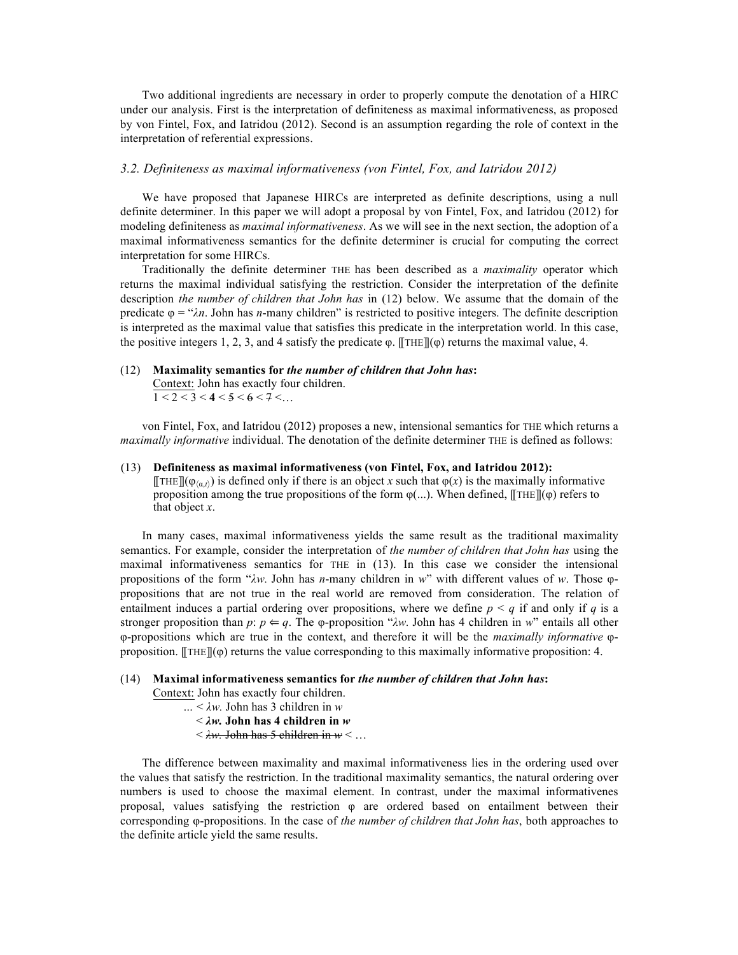Two additional ingredients are necessary in order to properly compute the denotation of a HIRC under our analysis. First is the interpretation of definiteness as maximal informativeness, as proposed by von Fintel, Fox, and Iatridou (2012). Second is an assumption regarding the role of context in the interpretation of referential expressions.

#### *3.2. Definiteness as maximal informativeness (von Fintel, Fox, and Iatridou 2012)*

We have proposed that Japanese HIRCs are interpreted as definite descriptions, using a null definite determiner. In this paper we will adopt a proposal by von Fintel, Fox, and Iatridou (2012) for modeling definiteness as *maximal informativeness*. As we will see in the next section, the adoption of a maximal informativeness semantics for the definite determiner is crucial for computing the correct interpretation for some HIRCs.

Traditionally the definite determiner THE has been described as a *maximality* operator which returns the maximal individual satisfying the restriction. Consider the interpretation of the definite description *the number of children that John has* in (12) below. We assume that the domain of the predicate  $\varphi = \alpha \lambda n$ . John has *n*-many children" is restricted to positive integers. The definite description is interpreted as the maximal value that satisfies this predicate in the interpretation world. In this case, the positive integers 1, 2, 3, and 4 satisfy the predicate  $\varphi$ . [[THE]]( $\varphi$ ) returns the maximal value, 4.

# (12) **Maximality semantics for** *the number of children that John has***:**

Context: John has exactly four children.  $1 < 2 < 3 < 4 < 5 < 6 < 7 < ...$ 

von Fintel, Fox, and Iatridou (2012) proposes a new, intensional semantics for THE which returns a *maximally informative* individual. The denotation of the definite determiner THE is defined as follows:

#### (13) **Definiteness as maximal informativeness (von Fintel, Fox, and Iatridou 2012):**  $[\![\text{THE}]\!] (\varphi_{\langle \alpha, t \rangle})$  is defined only if there is an object *x* such that  $\varphi(x)$  is the maximally informative proposition among the true propositions of the form  $\varphi$ (...). When defined, [[THE]]( $\varphi$ ) refers to that object *x*.

In many cases, maximal informativeness yields the same result as the traditional maximality semantics. For example, consider the interpretation of *the number of children that John has* using the maximal informativeness semantics for THE in (13). In this case we consider the intensional propositions of the form "*λw.* John has *n*-many children in *w*" with different values of *w*. Those φpropositions that are not true in the real world are removed from consideration. The relation of entailment induces a partial ordering over propositions, where we define *p < q* if and only if *q* is a stronger proposition than  $p: p \leftarrow q$ . The  $\varphi$ -proposition " $\lambda w$ . John has 4 children in  $w$ " entails all other φ-propositions which are true in the context, and therefore it will be the *maximally informative* φproposition.  $[THE]$  $[$  $\varphi$ ) returns the value corresponding to this maximally informative proposition: 4.

# (14) **Maximal informativeness semantics for** *the number of children that John has***:**

Context: John has exactly four children.

 *…* < *λw.* John has 3 children in *w*

< *λw.* **John has 4 children in** *w*

< *λw.* John has 5 children in *w* < …

The difference between maximality and maximal informativeness lies in the ordering used over the values that satisfy the restriction. In the traditional maximality semantics, the natural ordering over numbers is used to choose the maximal element. In contrast, under the maximal informativenes proposal, values satisfying the restriction φ are ordered based on entailment between their corresponding φ-propositions. In the case of *the number of children that John has*, both approaches to the definite article yield the same results.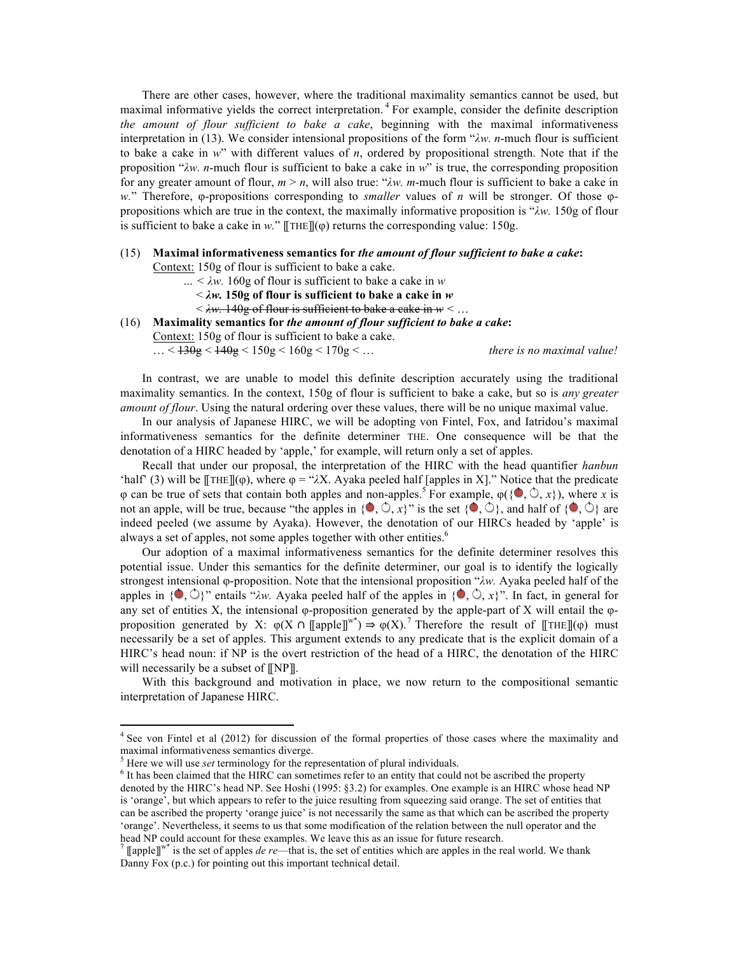There are other cases, however, where the traditional maximality semantics cannot be used, but maximal informative yields the correct interpretation.<sup>4</sup> For example, consider the definite description *the amount of flour sufficient to bake a cake*, beginning with the maximal informativeness interpretation in (13). We consider intensional propositions of the form "*λw. n*-much flour is sufficient to bake a cake in *w*" with different values of *n*, ordered by propositional strength. Note that if the proposition "*λw. n*-much flour is sufficient to bake a cake in *w*" is true, the corresponding proposition for any greater amount of flour, *m* > *n*, will also true: "*λw. m*-much flour is sufficient to bake a cake in *w.*" Therefore, φ-propositions corresponding to *smaller* values of *n* will be stronger. Of those φpropositions which are true in the context, the maximally informative proposition is "*λw.* 150g of flour is sufficient to bake a cake in  $w$ ."  $\llbracket \text{THE} \rrbracket(\phi)$  returns the corresponding value: 150g.

#### (15) **Maximal informativeness semantics for** *the amount of flour sufficient to bake a cake***:**

Context: 150g of flour is sufficient to bake a cake.

- *… < λw.* 160g of flour is sufficient to bake a cake in *w*
	- < *λw.* **150g of flour is sufficient to bake a cake in** *w*
	- < *λw.* 140g of flour is sufficient to bake a cake in *w* < …
- (16) **Maximality semantics for** *the amount of flour sufficient to bake a cake***:** Context: 150g of flour is sufficient to bake a cake.

… < 130g < 140g < 150g < 160g < 170g < … *there is no maximal value!*

In contrast, we are unable to model this definite description accurately using the traditional maximality semantics. In the context, 150g of flour is sufficient to bake a cake, but so is *any greater amount of flour*. Using the natural ordering over these values, there will be no unique maximal value.

In our analysis of Japanese HIRC, we will be adopting von Fintel, Fox, and Iatridou's maximal informativeness semantics for the definite determiner THE. One consequence will be that the denotation of a HIRC headed by 'apple,' for example, will return only a set of apples.

Recall that under our proposal, the interpretation of the HIRC with the head quantifier *hanbun* 'half' (3) will be  $[\text{THE}]$ (φ), where  $\varphi = \forall \lambda X$ . Ayaka peeled half [apples in X]." Notice that the predicate φ can be true of sets that contain both apples and non-apples.<sup>5</sup> For example,  $\varphi(\{\bullet, \circlearrowleft, x\})$ , where *x* is not an apple, will be true, because "the apples in  $\{0, 0, x\}$ " is the set  $\{0, 0\}$ , and half of  $\{0, 0\}$  are indeed peeled (we assume by Ayaka). However, the denotation of our HIRCs headed by 'apple' is always a set of apples, not some apples together with other entities.<sup>6</sup>

Our adoption of a maximal informativeness semantics for the definite determiner resolves this potential issue. Under this semantics for the definite determiner, our goal is to identify the logically strongest intensional φ-proposition. Note that the intensional proposition "*λw.* Ayaka peeled half of the apples in  $\{\bullet, \circlearrowright\}$  " entails " $\lambda w$ . Ayaka peeled half of the apples in  $\{\bullet, \circlearrowright, x\}$ ". In fact, in general for any set of entities X, the intensional φ-proposition generated by the apple-part of X will entail the  $\varphi$ proposition generated by X:  $\varphi(X \cap [\![\text{apple}]\!]^{w^*}) \Rightarrow \varphi(X)$ .<sup>7</sup> Therefore the result of  $[\![\text{THE}]\!] (\varphi)$  must necessarily be a set of apples. This argument extends to any predicate that is the explicit domain of a HIRC's head noun: if NP is the overt restriction of the head of a HIRC, the denotation of the HIRC will necessarily be a subset of  $[$ [NP]].

With this background and motivation in place, we now return to the compositional semantic interpretation of Japanese HIRC.

<u> 1989 - Johann Stein, fransk politik (d. 1989)</u>

<sup>&</sup>lt;sup>4</sup> See von Fintel et al (2012) for discussion of the formal properties of those cases where the maximality and maximal informativeness semantics diverge.

<sup>&</sup>lt;sup>5</sup> Here we will use *set* terminology for the representation of plural individuals.<br><sup>6</sup> It has been claimed that the HIRC can sometimes refer to an entity that could not be ascribed the property denoted by the HIRC's head NP. See Hoshi (1995: §3.2) for examples. One example is an HIRC whose head NP is 'orange', but which appears to refer to the juice resulting from squeezing said orange. The set of entities that can be ascribed the property 'orange juice' is not necessarily the same as that which can be ascribed the property 'orange'. Nevertheless, it seems to us that some modification of the relation between the null operator and the head NP could account for these examples. We leave this as an issue for future research.<br><sup>7</sup> [[apple]]<sup>w\*</sup> is the set of apples *de re*—that is, the set of entities which are apples in the real world. We thank

Danny Fox (p.c.) for pointing out this important technical detail.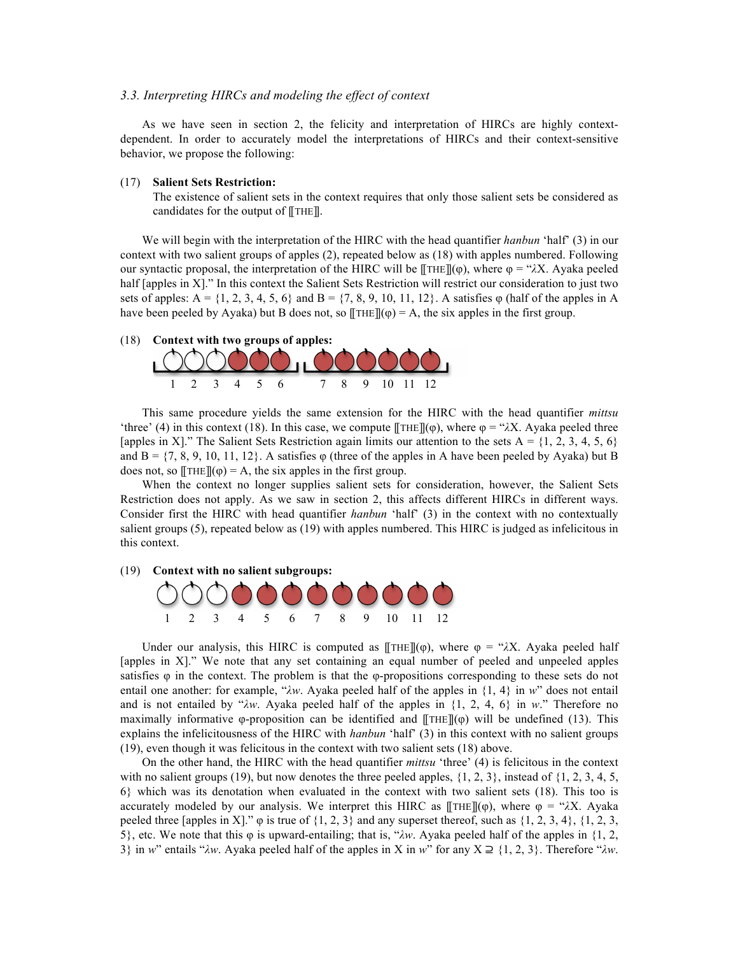#### *3.3. Interpreting HIRCs and modeling the effect of context*

As we have seen in section 2, the felicity and interpretation of HIRCs are highly contextdependent. In order to accurately model the interpretations of HIRCs and their context-sensitive behavior, we propose the following:

#### (17) **Salient Sets Restriction:**

The existence of salient sets in the context requires that only those salient sets be considered as candidates for the output of [[THE]].

We will begin with the interpretation of the HIRC with the head quantifier *hanbun* 'half' (3) in our context with two salient groups of apples (2), repeated below as (18) with apples numbered. Following our syntactic proposal, the interpretation of the HIRC will be  $[THEmathcal{THE}](φ)$ , where  $φ = "λX$ . Ayaka peeled half [apples in X]." In this context the Salient Sets Restriction will restrict our consideration to just two sets of apples:  $A = \{1, 2, 3, 4, 5, 6\}$  and  $B = \{7, 8, 9, 10, 11, 12\}$ . A satisfies  $\varphi$  (half of the apples in A have been peeled by Ayaka) but B does not, so  $[THE](\varphi) = A$ , the six apples in the first group.





This same procedure yields the same extension for the HIRC with the head quantifier *mittsu* 'three' (4) in this context (18). In this case, we compute  $[\![\text{THE}]\!] (\varphi)$ , where  $\varphi = \text{A}X$ . Ayaka peeled three [apples in X]." The Salient Sets Restriction again limits our attention to the sets  $A = \{1, 2, 3, 4, 5, 6\}$ and  $B = \{7, 8, 9, 10, 11, 12\}$ . A satisfies  $\varphi$  (three of the apples in A have been peeled by Ayaka) but B does not, so  $[THE](\varphi) = A$ , the six apples in the first group.

When the context no longer supplies salient sets for consideration, however, the Salient Sets Restriction does not apply. As we saw in section 2, this affects different HIRCs in different ways. Consider first the HIRC with head quantifier *hanbun* 'half' (3) in the context with no contextually salient groups (5), repeated below as (19) with apples numbered. This HIRC is judged as infelicitous in this context.

#### (19) **Context with no salient subgroups:**



Under our analysis, this HIRC is computed as  $[THET](\varphi)$ , where  $\varphi = \gamma \lambda X$ . Ayaka peeled half [apples in X]." We note that any set containing an equal number of peeled and unpeeled apples satisfies  $\varphi$  in the context. The problem is that the  $\varphi$ -propositions corresponding to these sets do not entail one another: for example, "*λw*. Ayaka peeled half of the apples in {1, 4} in *w*" does not entail and is not entailed by "*λw*. Ayaka peeled half of the apples in {1, 2, 4, 6} in *w*." Therefore no maximally informative φ-proposition can be identified and  $[THE](\varphi)$  will be undefined (13). This explains the infelicitousness of the HIRC with *hanbun* 'half' (3) in this context with no salient groups (19), even though it was felicitous in the context with two salient sets (18) above.

On the other hand, the HIRC with the head quantifier *mittsu* 'three' (4) is felicitous in the context with no salient groups (19), but now denotes the three peeled apples,  $\{1, 2, 3\}$ , instead of  $\{1, 2, 3, 4, 5,$ 6} which was its denotation when evaluated in the context with two salient sets (18). This too is accurately modeled by our analysis. We interpret this HIRC as  $[THE](\varphi)$ , where  $\varphi = \mathcal{X}X$ . Ayaka peeled three [apples in X]."  $\varphi$  is true of  $\{1, 2, 3\}$  and any superset thereof, such as  $\{1, 2, 3, 4\}$ ,  $\{1, 2, 3, 4\}$ 5}, etc. We note that this φ is upward-entailing; that is, "*λw*. Ayaka peeled half of the apples in {1, 2, 3} in *w*" entails "*λw*. Ayaka peeled half of the apples in X in *w*" for any X ⊇ {1, 2, 3}. Therefore "*λw*.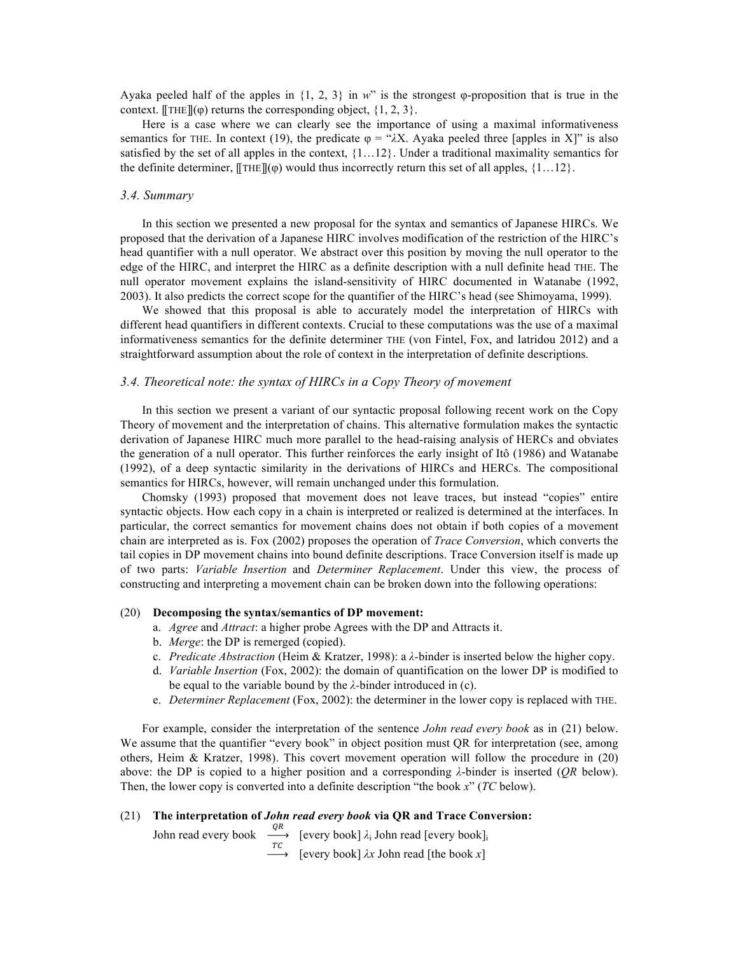Ayaka peeled half of the apples in {1, 2, 3} in *w*" is the strongest φ-proposition that is true in the context. [[THE]]( $\varphi$ ) returns the corresponding object,  $\{1, 2, 3\}$ .

Here is a case where we can clearly see the importance of using a maximal informativeness semantics for THE. In context (19), the predicate  $\varphi =$  " $\lambda$ X. Ayaka peeled three [apples in X]" is also satisfied by the set of all apples in the context,  $\{1...12\}$ . Under a traditional maximality semantics for the definite determiner,  $[\text{THE}]$ ( $\varphi$ ) would thus incorrectly return this set of all apples, {1...12}.

#### *3.4. Summary*

In this section we presented a new proposal for the syntax and semantics of Japanese HIRCs. We proposed that the derivation of a Japanese HIRC involves modification of the restriction of the HIRC's head quantifier with a null operator. We abstract over this position by moving the null operator to the edge of the HIRC, and interpret the HIRC as a definite description with a null definite head THE. The null operator movement explains the island-sensitivity of HIRC documented in Watanabe (1992, 2003). It also predicts the correct scope for the quantifier of the HIRC's head (see Shimoyama, 1999).

We showed that this proposal is able to accurately model the interpretation of HIRCs with different head quantifiers in different contexts. Crucial to these computations was the use of a maximal informativeness semantics for the definite determiner THE (von Fintel, Fox, and Iatridou 2012) and a straightforward assumption about the role of context in the interpretation of definite descriptions.

#### *3.4. Theoretical note: the syntax of HIRCs in a Copy Theory of movement*

In this section we present a variant of our syntactic proposal following recent work on the Copy Theory of movement and the interpretation of chains. This alternative formulation makes the syntactic derivation of Japanese HIRC much more parallel to the head-raising analysis of HERCs and obviates the generation of a null operator. This further reinforces the early insight of Itô (1986) and Watanabe (1992), of a deep syntactic similarity in the derivations of HIRCs and HERCs. The compositional semantics for HIRCs, however, will remain unchanged under this formulation.

Chomsky (1993) proposed that movement does not leave traces, but instead "copies" entire syntactic objects. How each copy in a chain is interpreted or realized is determined at the interfaces. In particular, the correct semantics for movement chains does not obtain if both copies of a movement chain are interpreted as is. Fox (2002) proposes the operation of *Trace Conversion*, which converts the tail copies in DP movement chains into bound definite descriptions. Trace Conversion itself is made up of two parts: *Variable Insertion* and *Determiner Replacement*. Under this view, the process of constructing and interpreting a movement chain can be broken down into the following operations:

#### (20) **Decomposing the syntax/semantics of DP movement:**

- a. *Agree* and *Attract*: a higher probe Agrees with the DP and Attracts it.
- b. *Merge*: the DP is remerged (copied).
- c. *Predicate Abstraction* (Heim & Kratzer, 1998): a *λ-*binder is inserted below the higher copy.
- d. *Variable Insertion* (Fox, 2002): the domain of quantification on the lower DP is modified to be equal to the variable bound by the *λ-*binder introduced in (c).
- e. *Determiner Replacement* (Fox, 2002): the determiner in the lower copy is replaced with THE.

For example, consider the interpretation of the sentence *John read every book* as in (21) below. We assume that the quantifier "every book" in object position must QR for interpretation (see, among others, Heim & Kratzer, 1998). This covert movement operation will follow the procedure in (20) above: the DP is copied to a higher position and a corresponding *λ*-binder is inserted (*QR* below). Then, the lower copy is converted into a definite description "the book *x*" (*TC* below).

# (21) **The interpretation of** *John read every book* **via QR and Trace Conversion:**

John read every book  $\begin{array}{c} Q R \\ \hline TC \\ \end{array}$  [every book]  $\lambda_i$  John read [every book]<sub>i</sub><br>[every book]  $\lambda x$  John read [the book *x*]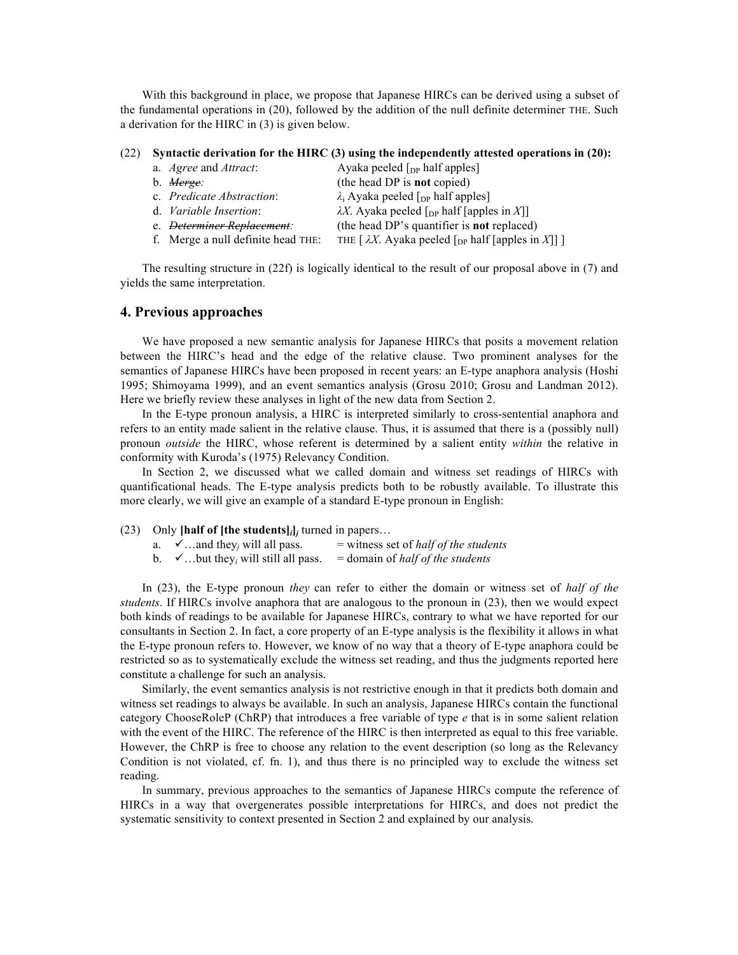With this background in place, we propose that Japanese HIRCs can be derived using a subset of the fundamental operations in (20), followed by the addition of the null definite determiner THE. Such a derivation for the HIRC in (3) is given below.

#### (22) **Syntactic derivation for the HIRC (3) using the independently attested operations in (20):**

| a. <i>Agree</i> and <i>Attract</i> : | Ayaka peeled $\lceil_{DP}$ half apples]                                                |
|--------------------------------------|----------------------------------------------------------------------------------------|
| b. <i>Merge:</i>                     | (the head DP is <b>not</b> copied)                                                     |
| c. Predicate Abstraction:            | $\lambda_i$ Ayaka peeled [ <sub>DP</sub> half apples]                                  |
| d. Variable Insertion:               | $\lambda X$ . Ayaka peeled [ <sub>DP</sub> half [apples in X]]                         |
|                                      | (the head DP's quantifier is <b>not</b> replaced)                                      |
| f. Merge a null definite head THE:   | THE $\lceil \lambda X \cdot \text{Ayaka} \rceil$ (D <sub>P</sub> half [apples in X]] ] |

The resulting structure in (22f) is logically identical to the result of our proposal above in (7) and yields the same interpretation.

### **4. Previous approaches**

We have proposed a new semantic analysis for Japanese HIRCs that posits a movement relation between the HIRC's head and the edge of the relative clause. Two prominent analyses for the semantics of Japanese HIRCs have been proposed in recent years: an E-type anaphora analysis (Hoshi 1995; Shimoyama 1999), and an event semantics analysis (Grosu 2010; Grosu and Landman 2012). Here we briefly review these analyses in light of the new data from Section 2.

In the E-type pronoun analysis, a HIRC is interpreted similarly to cross-sentential anaphora and refers to an entity made salient in the relative clause. Thus, it is assumed that there is a (possibly null) pronoun *outside* the HIRC, whose referent is determined by a salient entity *within* the relative in conformity with Kuroda's (1975) Relevancy Condition.

In Section 2, we discussed what we called domain and witness set readings of HIRCs with quantificational heads. The E-type analysis predicts both to be robustly available. To illustrate this more clearly, we will give an example of a standard E-type pronoun in English:

|  | (23) Only [half of [the students] $_i$ ] turned in papers |  |  |  |
|--|-----------------------------------------------------------|--|--|--|
|--|-----------------------------------------------------------|--|--|--|

- a.  $\checkmark$  ... and they<sub>*i*</sub> will all pass. = witness set of *half of the students*
- b.  $\checkmark$ ...but they<sub>*i*</sub> will still all pass.  $=$  domain of *half of the students*

In (23), the E-type pronoun *they* can refer to either the domain or witness set of *half of the students*. If HIRCs involve anaphora that are analogous to the pronoun in (23), then we would expect both kinds of readings to be available for Japanese HIRCs, contrary to what we have reported for our consultants in Section 2. In fact, a core property of an E-type analysis is the flexibility it allows in what the E-type pronoun refers to. However, we know of no way that a theory of E-type anaphora could be restricted so as to systematically exclude the witness set reading, and thus the judgments reported here constitute a challenge for such an analysis.

Similarly, the event semantics analysis is not restrictive enough in that it predicts both domain and witness set readings to always be available. In such an analysis, Japanese HIRCs contain the functional category ChooseRoleP (ChRP) that introduces a free variable of type *e* that is in some salient relation with the event of the HIRC. The reference of the HIRC is then interpreted as equal to this free variable. However, the ChRP is free to choose any relation to the event description (so long as the Relevancy Condition is not violated, cf. fn. 1), and thus there is no principled way to exclude the witness set reading.

In summary, previous approaches to the semantics of Japanese HIRCs compute the reference of HIRCs in a way that overgenerates possible interpretations for HIRCs, and does not predict the systematic sensitivity to context presented in Section 2 and explained by our analysis.